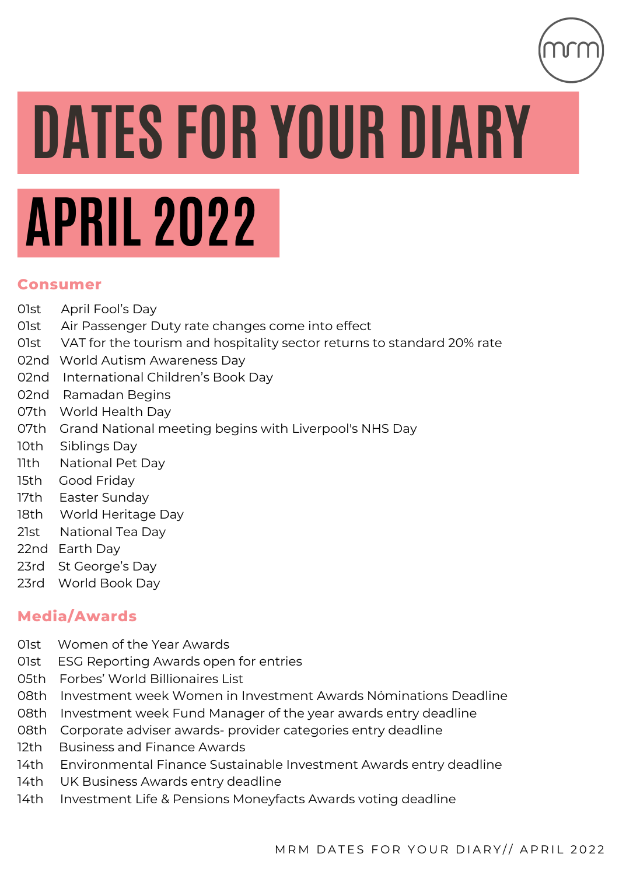

# **DATES FOR YOUR DIARY**

# **APRIL 2022**

### **Consumer**

- 01st April Fool's Day
- 01st Air Passenger Duty rate changes come into effect
- 01st VAT for the tourism and hospitality sector returns to standard 20% rate
- 02nd World Autism Awareness Day
- 02nd International Children's Book Day
- 02nd Ramadan Begins
- 07th World Health Day
- 07th Grand National meeting begins with Liverpool's NHS Day
- 10th Siblings Day
- 11th National Pet Day
- 15th Good Friday
- 17th Easter Sunday
- 18th World Heritage Day
- 21st National Tea Day
- 22nd Earth Day
- 23rd St George's Day
- 23rd World Book Day

# **Media/Awards**

- 01st Women of the Year Awards
- 01st ESG Reporting Awards open for entries
- 05th Forbes' World Billionaires List
- 08th Investment week Women in Investment Awards Nominations Deadline
- 08th Investment week Fund Manager of the year awards entry deadline
- 08th Corporate adviser awards- provider categories entry deadline
- 12th Business and Finance Awards
- 14th Environmental Finance Sustainable Investment Awards entry deadline
- 14th UK Business Awards entry deadline
- 14th Investment Life & Pensions Moneyfacts Awards voting deadline